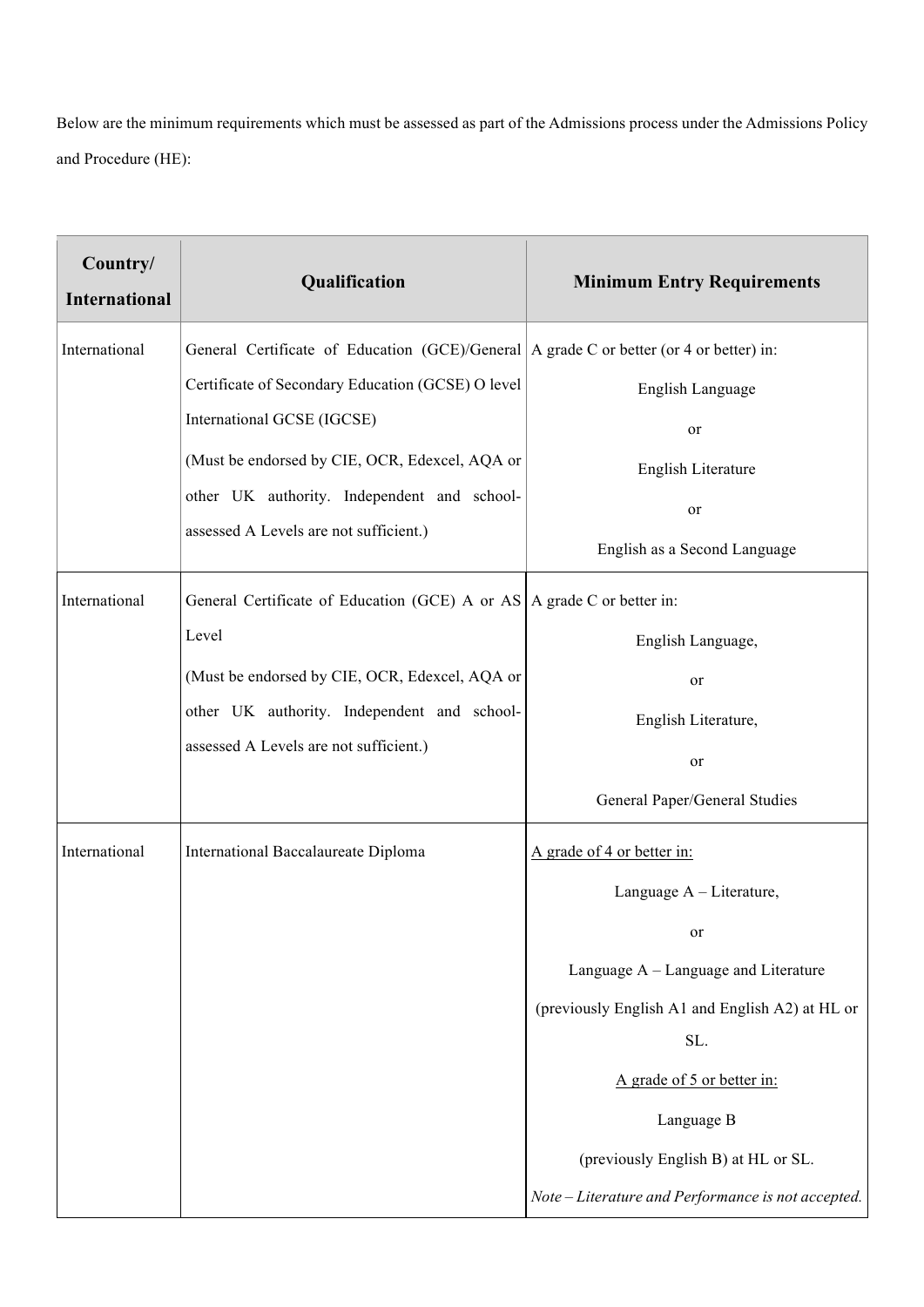Below are the minimum requirements which must be assessed as part of the Admissions process under the Admissions Policy and Procedure (HE):

| Country/<br><b>International</b> | Qualification                                                                           | <b>Minimum Entry Requirements</b>                |
|----------------------------------|-----------------------------------------------------------------------------------------|--------------------------------------------------|
| International                    | General Certificate of Education (GCE)/General A grade C or better (or 4 or better) in: |                                                  |
|                                  | Certificate of Secondary Education (GCSE) O level                                       | English Language                                 |
|                                  | International GCSE (IGCSE)                                                              | or                                               |
|                                  | (Must be endorsed by CIE, OCR, Edexcel, AQA or                                          | English Literature                               |
|                                  | other UK authority. Independent and school-                                             | or                                               |
|                                  | assessed A Levels are not sufficient.)                                                  | English as a Second Language                     |
| International                    | General Certificate of Education (GCE) A or AS $\vert$ A grade C or better in:          |                                                  |
|                                  | Level                                                                                   | English Language,                                |
|                                  | (Must be endorsed by CIE, OCR, Edexcel, AQA or                                          | or                                               |
|                                  | other UK authority. Independent and school-                                             | English Literature,                              |
|                                  | assessed A Levels are not sufficient.)                                                  | or                                               |
|                                  |                                                                                         | General Paper/General Studies                    |
| International                    | International Baccalaureate Diploma                                                     | A grade of 4 or better in:                       |
|                                  |                                                                                         | Language A - Literature,                         |
|                                  |                                                                                         | <sub>or</sub>                                    |
|                                  |                                                                                         | Language A – Language and Literature             |
|                                  |                                                                                         | (previously English A1 and English A2) at HL or  |
|                                  |                                                                                         | SL.                                              |
|                                  |                                                                                         | A grade of 5 or better in:                       |
|                                  |                                                                                         | Language B                                       |
|                                  |                                                                                         | (previously English B) at HL or SL.              |
|                                  |                                                                                         | Note-Literature and Performance is not accepted. |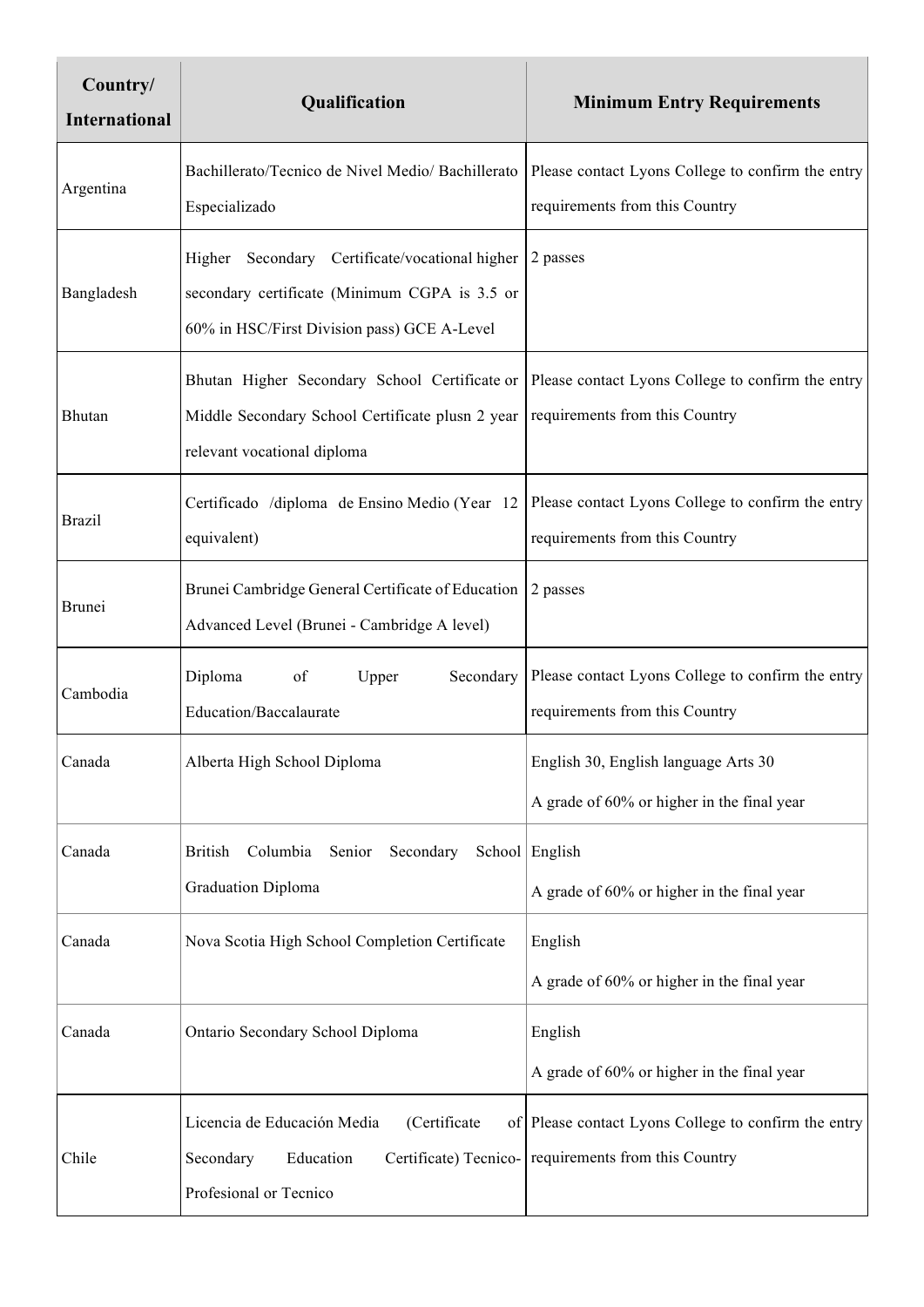| Country/<br><b>International</b> | Qualification                                                                                                                                  | <b>Minimum Entry Requirements</b>                                                                            |
|----------------------------------|------------------------------------------------------------------------------------------------------------------------------------------------|--------------------------------------------------------------------------------------------------------------|
| Argentina                        | Bachillerato/Tecnico de Nivel Medio/ Bachillerato<br>Especializado                                                                             | Please contact Lyons College to confirm the entry<br>requirements from this Country                          |
| Bangladesh                       | Higher Secondary Certificate/vocational higher<br>secondary certificate (Minimum CGPA is 3.5 or<br>60% in HSC/First Division pass) GCE A-Level | 2 passes                                                                                                     |
| Bhutan                           | Bhutan Higher Secondary School Certificate or<br>Middle Secondary School Certificate plusn 2 year<br>relevant vocational diploma               | Please contact Lyons College to confirm the entry<br>requirements from this Country                          |
| <b>Brazil</b>                    | Certificado /diploma de Ensino Medio (Year 12<br>equivalent)                                                                                   | Please contact Lyons College to confirm the entry<br>requirements from this Country                          |
| <b>Brunei</b>                    | Brunei Cambridge General Certificate of Education<br>Advanced Level (Brunei - Cambridge A level)                                               | 2 passes                                                                                                     |
| Cambodia                         | Diploma<br>of<br>Upper<br>Secondary<br><b>Education/Baccalaurate</b>                                                                           | Please contact Lyons College to confirm the entry<br>requirements from this Country                          |
| Canada                           | Alberta High School Diploma                                                                                                                    | English 30, English language Arts 30<br>A grade of 60% or higher in the final year                           |
| Canada                           | Columbia<br>Secondary<br><b>British</b><br>Senior<br><b>Graduation Diploma</b>                                                                 | School English<br>A grade of 60% or higher in the final year                                                 |
| Canada                           | Nova Scotia High School Completion Certificate                                                                                                 | English<br>A grade of 60% or higher in the final year                                                        |
| Canada                           | Ontario Secondary School Diploma                                                                                                               | English<br>A grade of 60% or higher in the final year                                                        |
| Chile                            | Licencia de Educación Media<br>(Certificate<br>Secondary<br>Education<br>Profesional or Tecnico                                                | of Please contact Lyons College to confirm the entry<br>Certificate) Tecnico- requirements from this Country |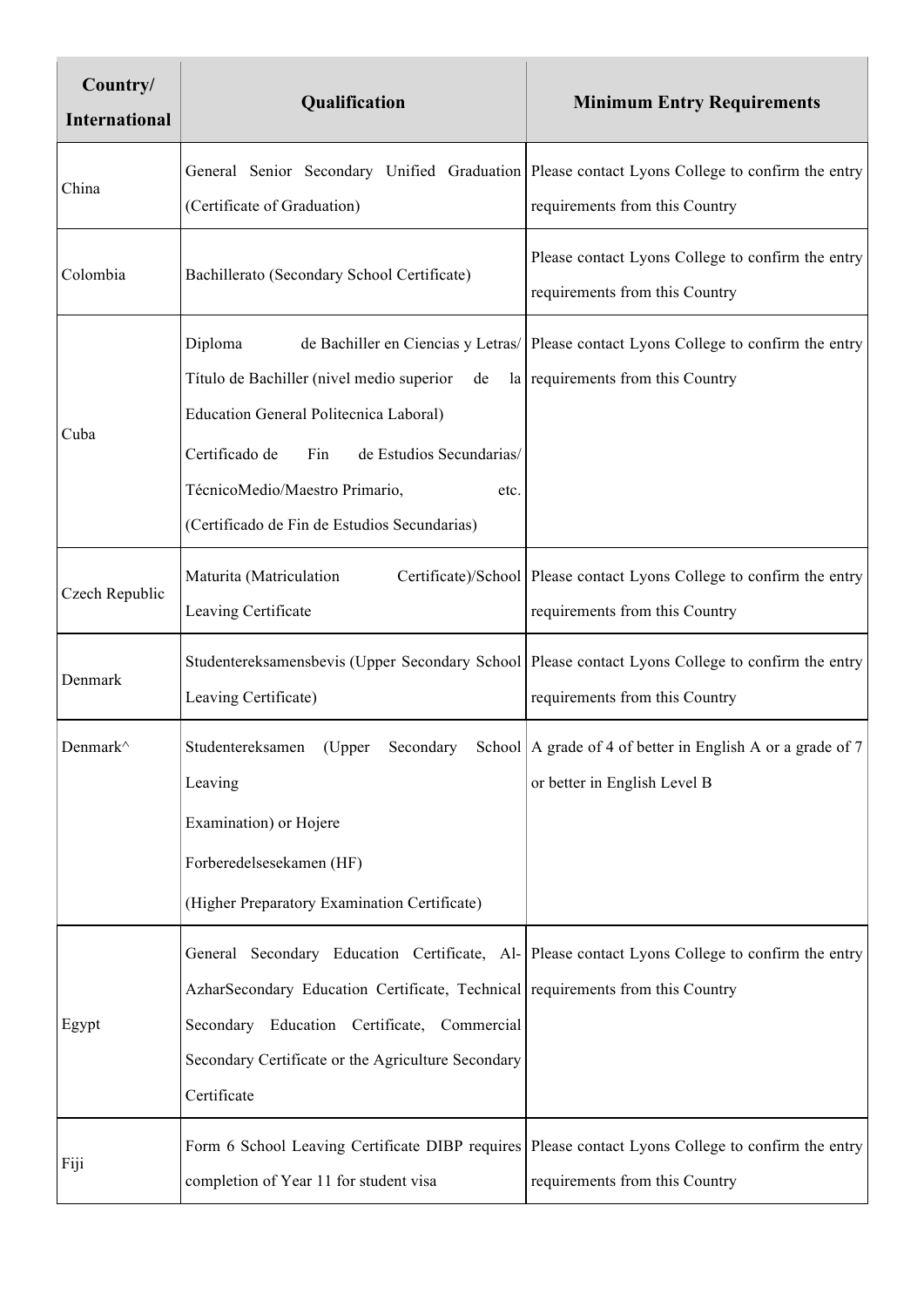| Country/<br><b>International</b> | Qualification                                                                                                                                                                                                                                              | <b>Minimum Entry Requirements</b>                                                                                                   |
|----------------------------------|------------------------------------------------------------------------------------------------------------------------------------------------------------------------------------------------------------------------------------------------------------|-------------------------------------------------------------------------------------------------------------------------------------|
| China                            | (Certificate of Graduation)                                                                                                                                                                                                                                | General Senior Secondary Unified Graduation Please contact Lyons College to confirm the entry<br>requirements from this Country     |
| Colombia                         | Bachillerato (Secondary School Certificate)                                                                                                                                                                                                                | Please contact Lyons College to confirm the entry<br>requirements from this Country                                                 |
| Cuba                             | Diploma<br>Título de Bachiller (nivel medio superior<br>de<br><b>Education General Politecnica Laboral)</b><br>Certificado de<br>Fin<br>de Estudios Secundarias/<br>TécnicoMedio/Maestro Primario,<br>etc.<br>(Certificado de Fin de Estudios Secundarias) | de Bachiller en Ciencias y Letras/ Please contact Lyons College to confirm the entry<br>la requirements from this Country           |
| Czech Republic                   | Maturita (Matriculation<br>Leaving Certificate                                                                                                                                                                                                             | Certificate)/School Please contact Lyons College to confirm the entry<br>requirements from this Country                             |
| Denmark                          | Leaving Certificate)                                                                                                                                                                                                                                       | Studentereksamensbevis (Upper Secondary School Please contact Lyons College to confirm the entry<br>requirements from this Country  |
| Denmark^                         | Studentereksamen<br>(Upper<br>Secondary<br>Leaving<br>Examination) or Hojere<br>Forberedelsesekamen (HF)<br>(Higher Preparatory Examination Certificate)                                                                                                   | School   A grade of 4 of better in English A or a grade of 7<br>or better in English Level B                                        |
| Egypt                            | AzharSecondary Education Certificate, Technical requirements from this Country<br>Secondary Education Certificate, Commercial<br>Secondary Certificate or the Agriculture Secondary<br>Certificate                                                         | General Secondary Education Certificate, Al- Please contact Lyons College to confirm the entry                                      |
| Fiji                             | completion of Year 11 for student visa                                                                                                                                                                                                                     | Form 6 School Leaving Certificate DIBP requires Please contact Lyons College to confirm the entry<br>requirements from this Country |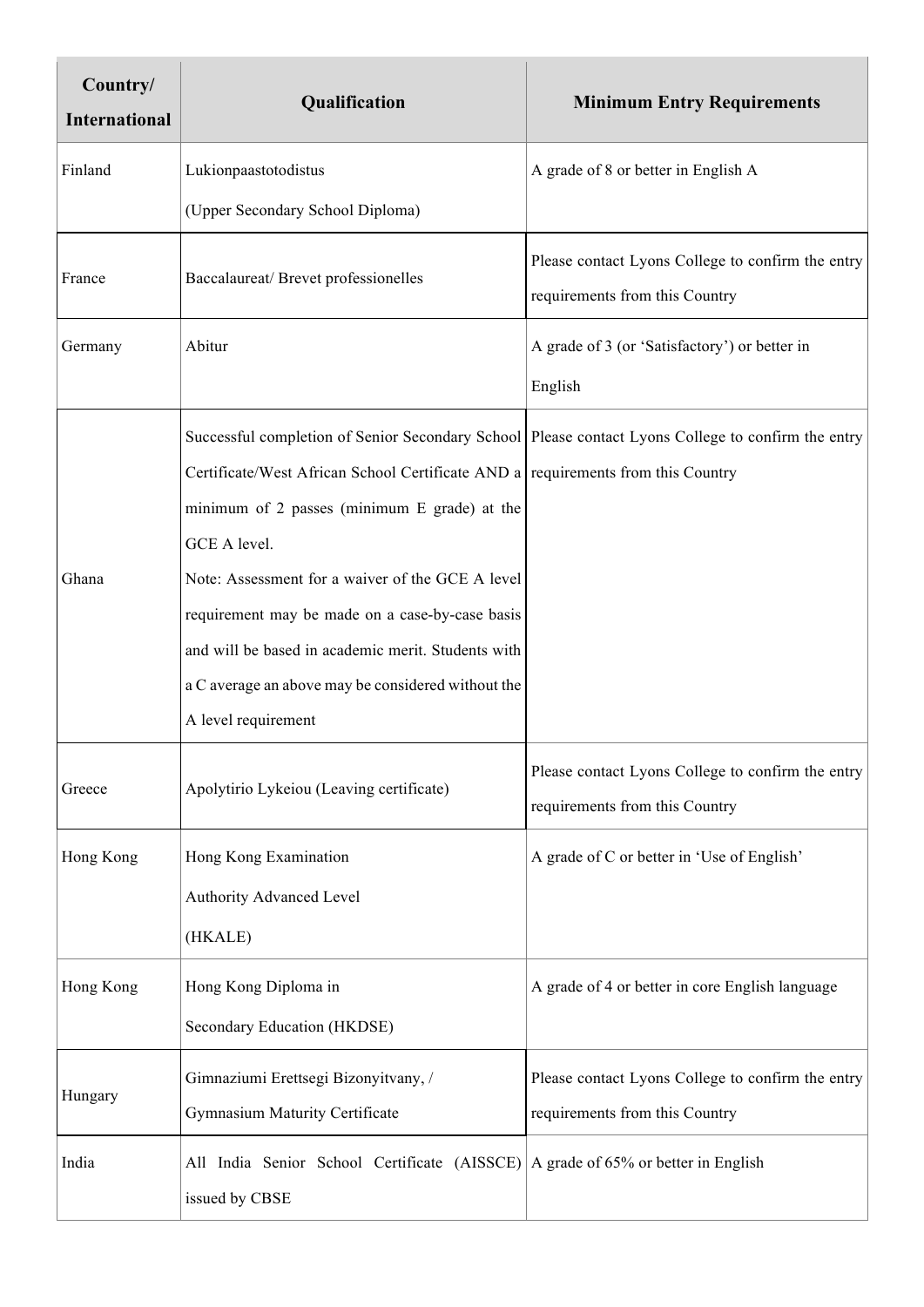| Country/<br><b>International</b> | Qualification                                                                                                                                                                                                                          | <b>Minimum Entry Requirements</b>                                                   |
|----------------------------------|----------------------------------------------------------------------------------------------------------------------------------------------------------------------------------------------------------------------------------------|-------------------------------------------------------------------------------------|
| Finland                          | Lukionpaastotodistus                                                                                                                                                                                                                   | A grade of 8 or better in English A                                                 |
|                                  | (Upper Secondary School Diploma)                                                                                                                                                                                                       |                                                                                     |
| France                           | Baccalaureat/Brevet professionelles                                                                                                                                                                                                    | Please contact Lyons College to confirm the entry<br>requirements from this Country |
| Germany                          | Abitur                                                                                                                                                                                                                                 | A grade of 3 (or 'Satisfactory') or better in                                       |
|                                  |                                                                                                                                                                                                                                        | English                                                                             |
|                                  | Successful completion of Senior Secondary School Please contact Lyons College to confirm the entry<br>Certificate/West African School Certificate AND a requirements from this Country<br>minimum of 2 passes (minimum E grade) at the |                                                                                     |
|                                  | GCE A level.                                                                                                                                                                                                                           |                                                                                     |
| Ghana                            | Note: Assessment for a waiver of the GCE A level<br>requirement may be made on a case-by-case basis                                                                                                                                    |                                                                                     |
|                                  | and will be based in academic merit. Students with                                                                                                                                                                                     |                                                                                     |
|                                  | a C average an above may be considered without the                                                                                                                                                                                     |                                                                                     |
|                                  | A level requirement                                                                                                                                                                                                                    |                                                                                     |
| Greece                           | Apolytirio Lykeiou (Leaving certificate)                                                                                                                                                                                               | Please contact Lyons College to confirm the entry<br>requirements from this Country |
| Hong Kong                        | Hong Kong Examination                                                                                                                                                                                                                  | A grade of C or better in 'Use of English'                                          |
|                                  | Authority Advanced Level                                                                                                                                                                                                               |                                                                                     |
|                                  | (HKALE)                                                                                                                                                                                                                                |                                                                                     |
| Hong Kong                        | Hong Kong Diploma in                                                                                                                                                                                                                   | A grade of 4 or better in core English language                                     |
|                                  | Secondary Education (HKDSE)                                                                                                                                                                                                            |                                                                                     |
| Hungary                          | Gimnaziumi Erettsegi Bizonyitvany, /<br>Gymnasium Maturity Certificate                                                                                                                                                                 | Please contact Lyons College to confirm the entry<br>requirements from this Country |
| India                            | All India Senior School Certificate (AISSCE)<br>issued by CBSE                                                                                                                                                                         | A grade of 65% or better in English                                                 |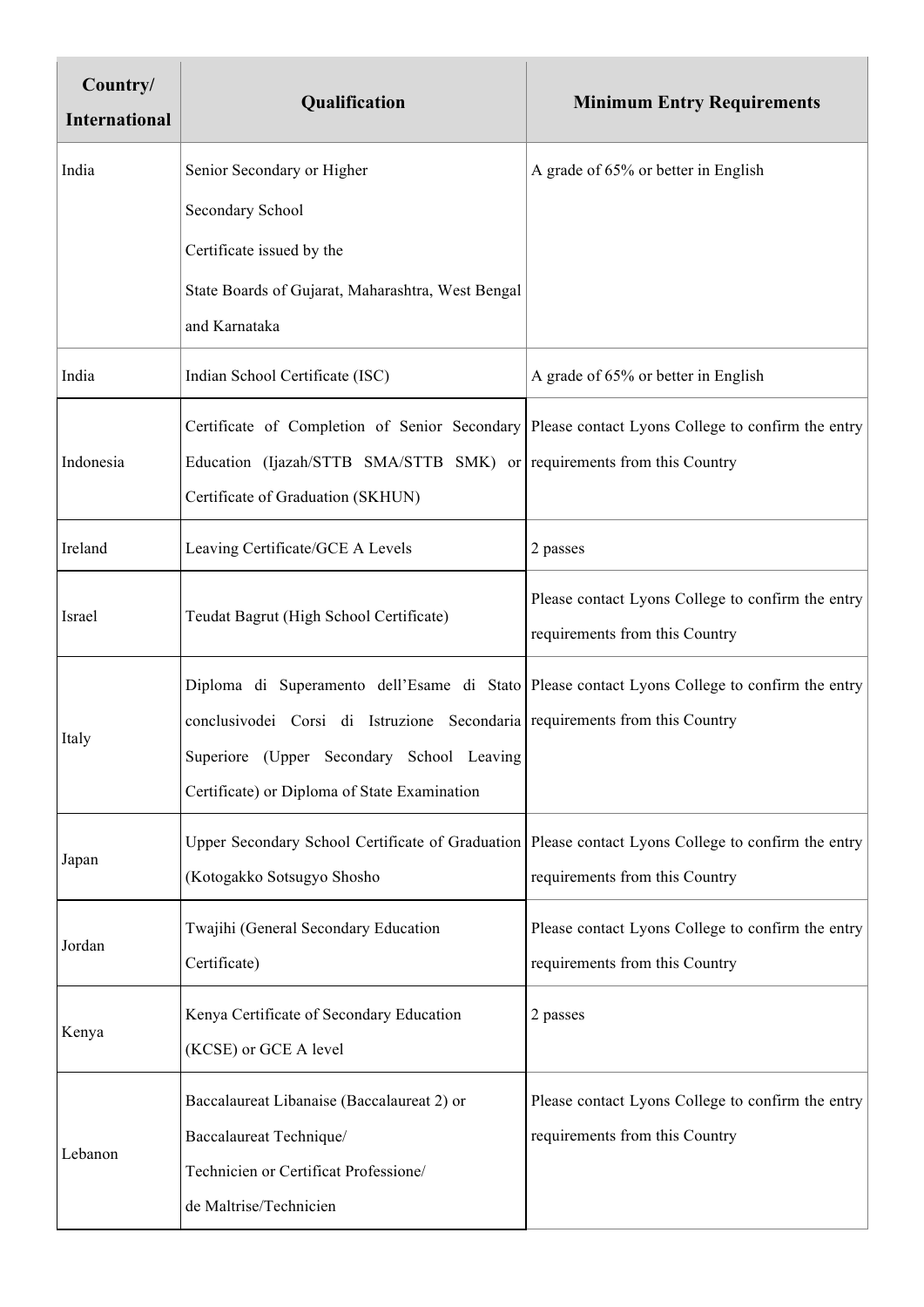| Country/<br><b>International</b> | Qualification                                                                                        | <b>Minimum Entry Requirements</b>                 |
|----------------------------------|------------------------------------------------------------------------------------------------------|---------------------------------------------------|
| India                            | Senior Secondary or Higher                                                                           | A grade of 65% or better in English               |
|                                  | Secondary School                                                                                     |                                                   |
|                                  | Certificate issued by the                                                                            |                                                   |
|                                  | State Boards of Gujarat, Maharashtra, West Bengal                                                    |                                                   |
|                                  | and Karnataka                                                                                        |                                                   |
| India                            | Indian School Certificate (ISC)                                                                      | A grade of 65% or better in English               |
|                                  | Certificate of Completion of Senior Secondary Please contact Lyons College to confirm the entry      |                                                   |
| Indonesia                        | Education (Ijazah/STTB SMA/STTB SMK) or requirements from this Country                               |                                                   |
|                                  | Certificate of Graduation (SKHUN)                                                                    |                                                   |
| Ireland                          | Leaving Certificate/GCE A Levels                                                                     | 2 passes                                          |
| Israel                           | Teudat Bagrut (High School Certificate)                                                              | Please contact Lyons College to confirm the entry |
|                                  |                                                                                                      | requirements from this Country                    |
|                                  | Diploma di Superamento dell'Esame di Stato Please contact Lyons College to confirm the entry         |                                                   |
| Italy                            | conclusivodei Corsi di Istruzione Secondaria requirements from this Country                          |                                                   |
|                                  | Superiore (Upper Secondary School Leaving                                                            |                                                   |
|                                  | Certificate) or Diploma of State Examination                                                         |                                                   |
| Japan                            | Upper Secondary School Certificate of Graduation   Please contact Lyons College to confirm the entry |                                                   |
|                                  | (Kotogakko Sotsugyo Shosho                                                                           | requirements from this Country                    |
| Jordan                           | Twajihi (General Secondary Education                                                                 | Please contact Lyons College to confirm the entry |
|                                  | Certificate)                                                                                         | requirements from this Country                    |
| Kenya                            | Kenya Certificate of Secondary Education                                                             | 2 passes                                          |
|                                  | (KCSE) or GCE A level                                                                                |                                                   |
|                                  | Baccalaureat Libanaise (Baccalaureat 2) or                                                           | Please contact Lyons College to confirm the entry |
| Lebanon                          | Baccalaureat Technique/                                                                              | requirements from this Country                    |
|                                  | Technicien or Certificat Professione/                                                                |                                                   |
|                                  | de Maltrise/Technicien                                                                               |                                                   |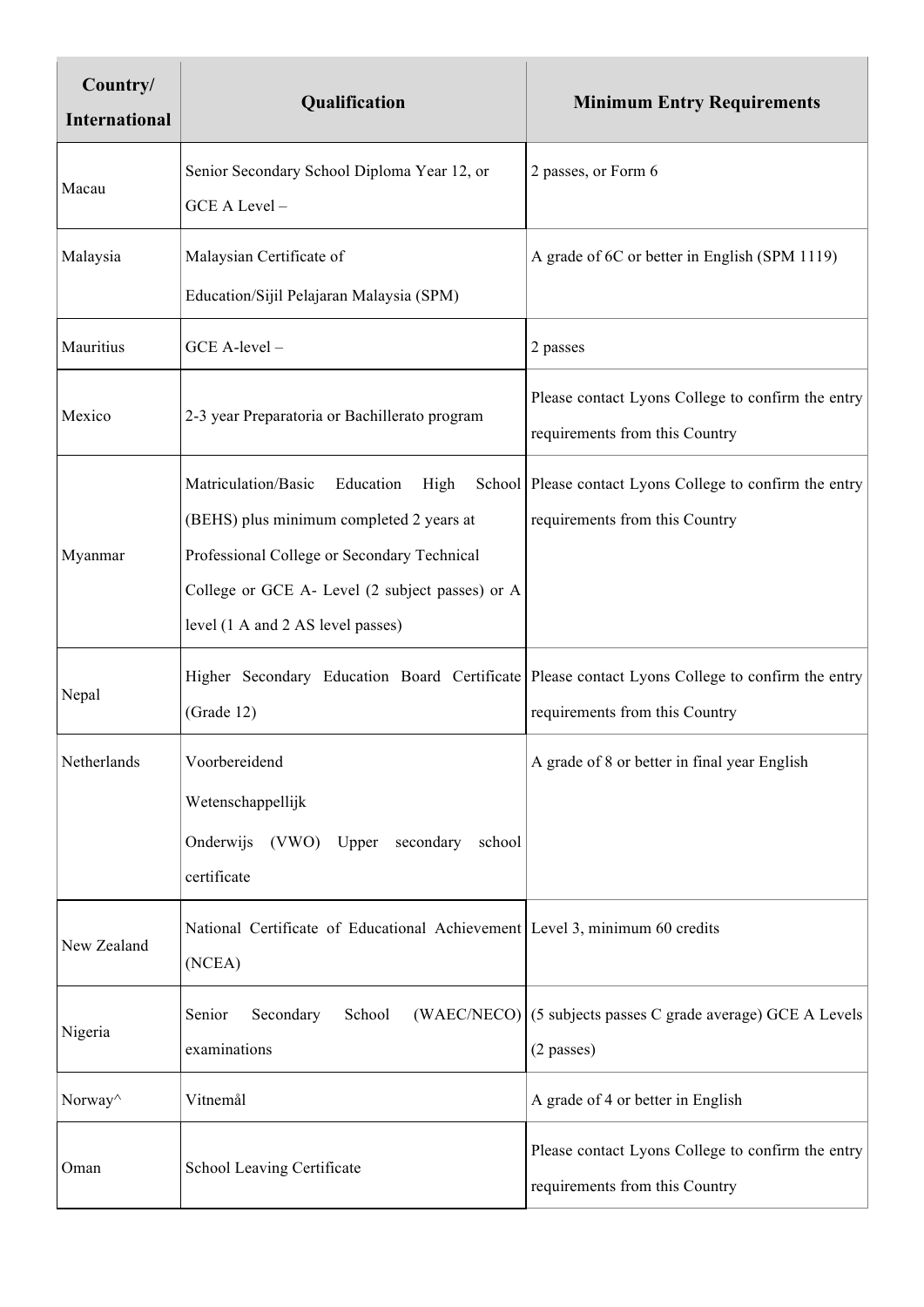| Country/<br><b>International</b> | Qualification                                                                                                                                                                                                               | <b>Minimum Entry Requirements</b>                                                          |
|----------------------------------|-----------------------------------------------------------------------------------------------------------------------------------------------------------------------------------------------------------------------------|--------------------------------------------------------------------------------------------|
| Macau                            | Senior Secondary School Diploma Year 12, or<br>GCE A Level-                                                                                                                                                                 | 2 passes, or Form 6                                                                        |
| Malaysia                         | Malaysian Certificate of<br>Education/Sijil Pelajaran Malaysia (SPM)                                                                                                                                                        | A grade of 6C or better in English (SPM 1119)                                              |
| Mauritius                        | GCE A-level -                                                                                                                                                                                                               | 2 passes                                                                                   |
| Mexico                           | 2-3 year Preparatoria or Bachillerato program                                                                                                                                                                               | Please contact Lyons College to confirm the entry<br>requirements from this Country        |
| Myanmar                          | Matriculation/Basic<br>Education<br>High<br>(BEHS) plus minimum completed 2 years at<br>Professional College or Secondary Technical<br>College or GCE A- Level (2 subject passes) or A<br>level (1 A and 2 AS level passes) | School Please contact Lyons College to confirm the entry<br>requirements from this Country |
| Nepal                            | Higher Secondary Education Board Certificate Please contact Lyons College to confirm the entry<br>(Grade 12)                                                                                                                | requirements from this Country                                                             |
| Netherlands                      | Voorbereidend<br>Wetenschappellijk<br>Onderwijs (VWO) Upper<br>secondary<br>school<br>certificate                                                                                                                           | A grade of 8 or better in final year English                                               |
| New Zealand                      | National Certificate of Educational Achievement Level 3, minimum 60 credits<br>(NCEA)                                                                                                                                       |                                                                                            |
| Nigeria                          | Secondary<br>School<br>(WAEC/NECO)<br>Senior<br>examinations                                                                                                                                                                | (5 subjects passes C grade average) GCE A Levels<br>$(2$ passes)                           |
| Norway <sup>^</sup>              | Vitnemål                                                                                                                                                                                                                    | A grade of 4 or better in English                                                          |
| Oman                             | School Leaving Certificate                                                                                                                                                                                                  | Please contact Lyons College to confirm the entry<br>requirements from this Country        |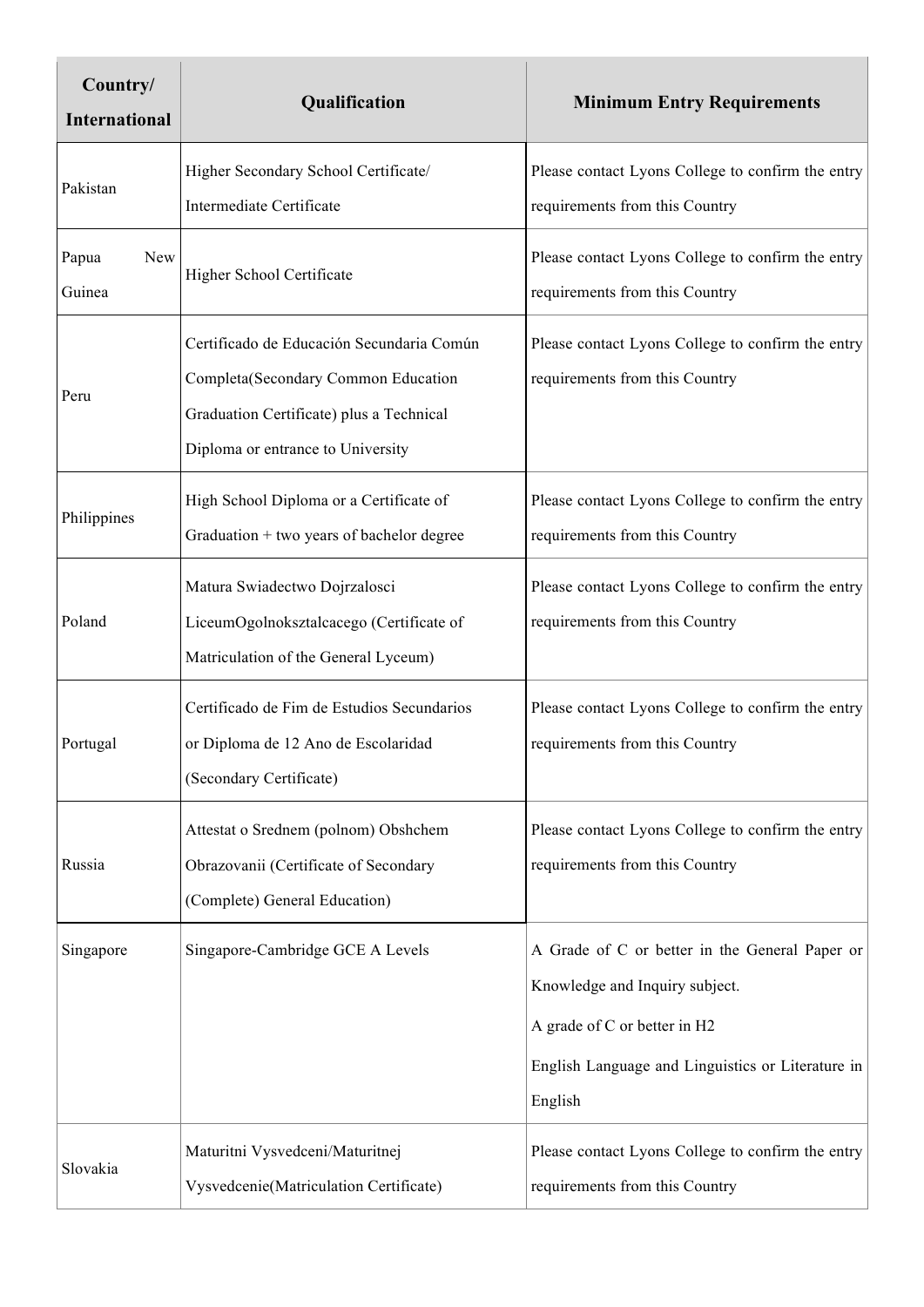| Country/<br><b>International</b> | Qualification                                                                                                                                                     | <b>Minimum Entry Requirements</b>                                                                                                                                                |
|----------------------------------|-------------------------------------------------------------------------------------------------------------------------------------------------------------------|----------------------------------------------------------------------------------------------------------------------------------------------------------------------------------|
| Pakistan                         | Higher Secondary School Certificate/<br><b>Intermediate Certificate</b>                                                                                           | Please contact Lyons College to confirm the entry<br>requirements from this Country                                                                                              |
| New<br>Papua<br>Guinea           | Higher School Certificate                                                                                                                                         | Please contact Lyons College to confirm the entry<br>requirements from this Country                                                                                              |
| Peru                             | Certificado de Educación Secundaria Común<br>Completa(Secondary Common Education<br>Graduation Certificate) plus a Technical<br>Diploma or entrance to University | Please contact Lyons College to confirm the entry<br>requirements from this Country                                                                                              |
| Philippines                      | High School Diploma or a Certificate of<br>Graduation + two years of bachelor degree                                                                              | Please contact Lyons College to confirm the entry<br>requirements from this Country                                                                                              |
| Poland                           | Matura Swiadectwo Dojrzalosci<br>LiceumOgolnoksztalcacego (Certificate of<br>Matriculation of the General Lyceum)                                                 | Please contact Lyons College to confirm the entry<br>requirements from this Country                                                                                              |
| Portugal                         | Certificado de Fim de Estudios Secundarios<br>or Diploma de 12 Ano de Escolaridad<br>(Secondary Certificate)                                                      | Please contact Lyons College to confirm the entry<br>requirements from this Country                                                                                              |
| Russia                           | Attestat o Srednem (polnom) Obshchem<br>Obrazovanii (Certificate of Secondary<br>(Complete) General Education)                                                    | Please contact Lyons College to confirm the entry<br>requirements from this Country                                                                                              |
| Singapore                        | Singapore-Cambridge GCE A Levels                                                                                                                                  | A Grade of C or better in the General Paper or<br>Knowledge and Inquiry subject.<br>A grade of C or better in H2<br>English Language and Linguistics or Literature in<br>English |
| Slovakia                         | Maturitni Vysvedceni/Maturitnej<br>Vysvedcenie(Matriculation Certificate)                                                                                         | Please contact Lyons College to confirm the entry<br>requirements from this Country                                                                                              |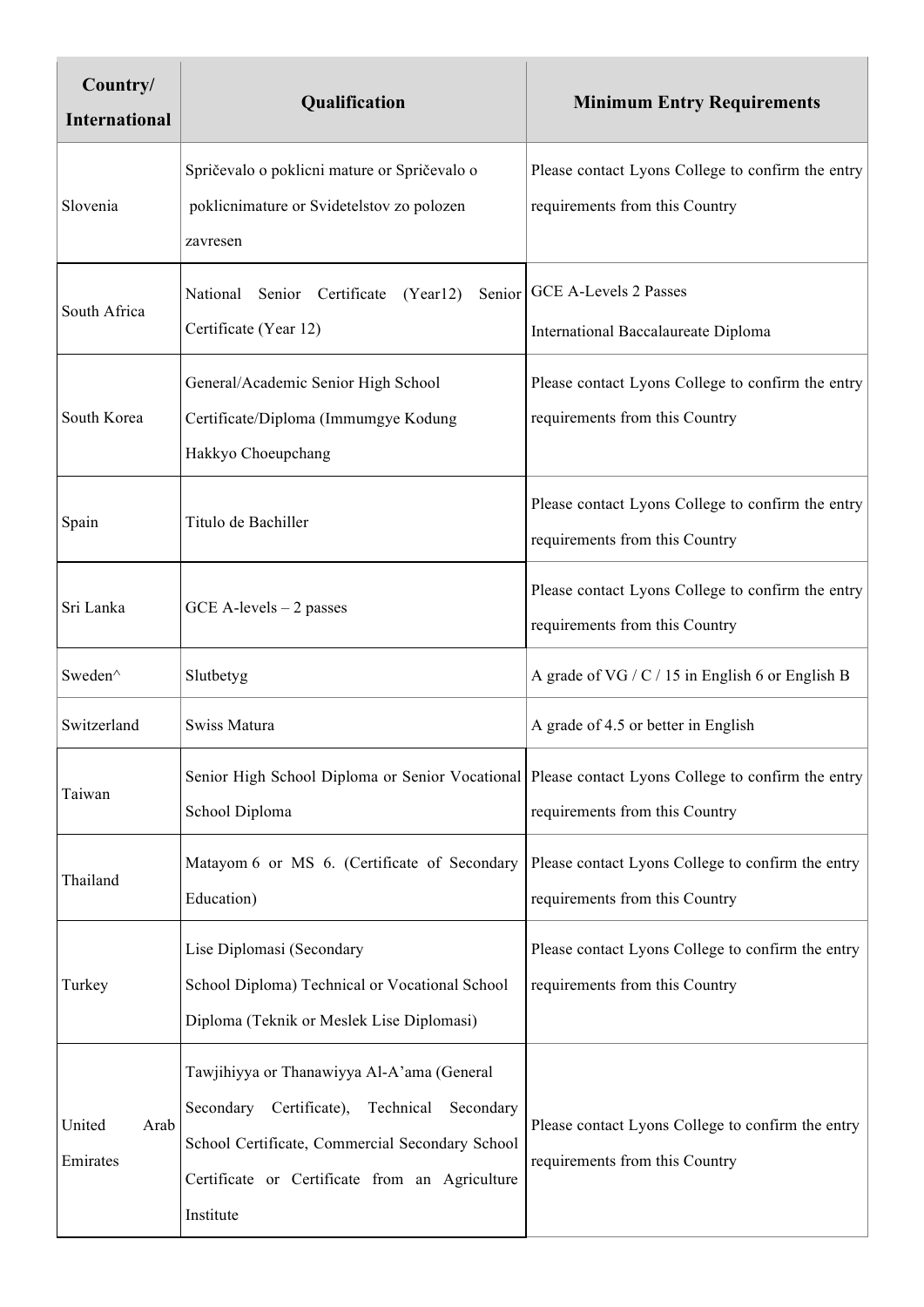| Country/<br><b>International</b> | Qualification                                                                                                                                                                                                        | <b>Minimum Entry Requirements</b>                                                   |
|----------------------------------|----------------------------------------------------------------------------------------------------------------------------------------------------------------------------------------------------------------------|-------------------------------------------------------------------------------------|
| Slovenia                         | Spričevalo o poklicni mature or Spričevalo o<br>poklicnimature or Svidetelstov zo polozen<br>zavresen                                                                                                                | Please contact Lyons College to confirm the entry<br>requirements from this Country |
| South Africa                     | National Senior Certificate<br>(Year12)<br>Certificate (Year 12)                                                                                                                                                     | Senior   GCE A-Levels 2 Passes<br>International Baccalaureate Diploma               |
| South Korea                      | General/Academic Senior High School<br>Certificate/Diploma (Immumgye Kodung<br>Hakkyo Choeupchang                                                                                                                    | Please contact Lyons College to confirm the entry<br>requirements from this Country |
| Spain                            | Titulo de Bachiller                                                                                                                                                                                                  | Please contact Lyons College to confirm the entry<br>requirements from this Country |
| Sri Lanka                        | $GCE$ A-levels $-2$ passes                                                                                                                                                                                           | Please contact Lyons College to confirm the entry<br>requirements from this Country |
| Sweden^                          | Slutbetyg                                                                                                                                                                                                            | A grade of VG / C / 15 in English 6 or English B                                    |
| Switzerland                      | Swiss Matura                                                                                                                                                                                                         | A grade of 4.5 or better in English                                                 |
| Taiwan                           | Senior High School Diploma or Senior Vocational Please contact Lyons College to confirm the entry<br>School Diploma                                                                                                  | requirements from this Country                                                      |
| Thailand                         | Matayom 6 or MS 6. (Certificate of Secondary<br>Education)                                                                                                                                                           | Please contact Lyons College to confirm the entry<br>requirements from this Country |
| Turkey                           | Lise Diplomasi (Secondary<br>School Diploma) Technical or Vocational School<br>Diploma (Teknik or Meslek Lise Diplomasi)                                                                                             | Please contact Lyons College to confirm the entry<br>requirements from this Country |
| United<br>Arab<br>Emirates       | Tawjihiyya or Thanawiyya Al-A'ama (General<br>Certificate),<br>Secondary<br>Technical<br>Secondary<br>School Certificate, Commercial Secondary School<br>Certificate or Certificate from an Agriculture<br>Institute | Please contact Lyons College to confirm the entry<br>requirements from this Country |